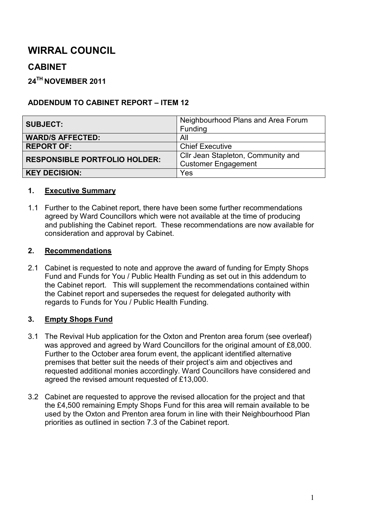# **WIRRAL COUNCIL**

# **CABINET**

### **24TH NOVEMBER 2011**

#### **ADDENDUM TO CABINET REPORT – ITEM 12**

| <b>SUBJECT:</b>                      | Neighbourhood Plans and Area Forum |  |  |  |
|--------------------------------------|------------------------------------|--|--|--|
|                                      | Funding                            |  |  |  |
| <b>WARD/S AFFECTED:</b>              | All                                |  |  |  |
| <b>REPORT OF:</b>                    | <b>Chief Executive</b>             |  |  |  |
| <b>RESPONSIBLE PORTFOLIO HOLDER:</b> | Cllr Jean Stapleton, Community and |  |  |  |
|                                      | <b>Customer Engagement</b>         |  |  |  |
| <b>KEY DECISION:</b>                 | Yes                                |  |  |  |

#### **1. Executive Summary**

1.1 Further to the Cabinet report, there have been some further recommendations agreed by Ward Councillors which were not available at the time of producing and publishing the Cabinet report. These recommendations are now available for consideration and approval by Cabinet.

#### **2. Recommendations**

2.1 Cabinet is requested to note and approve the award of funding for Empty Shops Fund and Funds for You / Public Health Funding as set out in this addendum to the Cabinet report. This will supplement the recommendations contained within the Cabinet report and supersedes the request for delegated authority with regards to Funds for You / Public Health Funding.

#### **3. Empty Shops Fund**

- 3.1 The Revival Hub application for the Oxton and Prenton area forum (see overleaf) was approved and agreed by Ward Councillors for the original amount of £8,000. Further to the October area forum event, the applicant identified alternative premises that better suit the needs of their project's aim and objectives and requested additional monies accordingly. Ward Councillors have considered and agreed the revised amount requested of £13,000.
- 3.2 Cabinet are requested to approve the revised allocation for the project and that the £4,500 remaining Empty Shops Fund for this area will remain available to be used by the Oxton and Prenton area forum in line with their Neighbourhood Plan priorities as outlined in section 7.3 of the Cabinet report.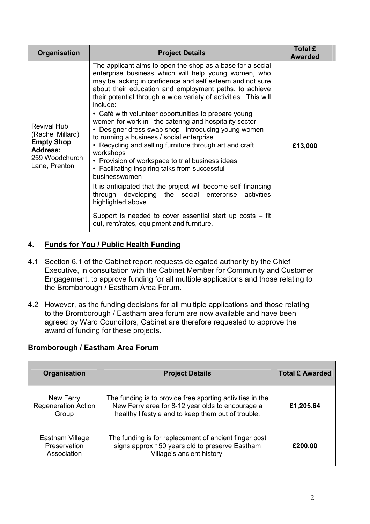| <b>Organisation</b>                                                                                               | <b>Project Details</b>                                                                                                                                                                                                                                                                                                                                                                                                                                                                                                                                                                                                                                                                                                                                                                                                                                                                                                                                                                                  | <b>Total £</b><br><b>Awarded</b> |
|-------------------------------------------------------------------------------------------------------------------|---------------------------------------------------------------------------------------------------------------------------------------------------------------------------------------------------------------------------------------------------------------------------------------------------------------------------------------------------------------------------------------------------------------------------------------------------------------------------------------------------------------------------------------------------------------------------------------------------------------------------------------------------------------------------------------------------------------------------------------------------------------------------------------------------------------------------------------------------------------------------------------------------------------------------------------------------------------------------------------------------------|----------------------------------|
| <b>Revival Hub</b><br>(Rachel Millard)<br><b>Empty Shop</b><br><b>Address:</b><br>259 Woodchurch<br>Lane, Prenton | The applicant aims to open the shop as a base for a social<br>enterprise business which will help young women, who<br>may be lacking in confidence and self esteem and not sure<br>about their education and employment paths, to achieve<br>their potential through a wide variety of activities. This will<br>include:<br>• Café with volunteer opportunities to prepare young<br>women for work in the catering and hospitality sector<br>• Designer dress swap shop - introducing young women<br>to running a business / social enterprise<br>• Recycling and selling furniture through art and craft<br>workshops<br>• Provision of workspace to trial business ideas<br>• Facilitating inspiring talks from successful<br>businesswomen<br>It is anticipated that the project will become self financing<br>through developing the social enterprise activities<br>highlighted above.<br>Support is needed to cover essential start up costs $-$ fit<br>out, rent/rates, equipment and furniture. | £13,000                          |

#### **4. Funds for You / Public Health Funding**

- 4.1 Section 6.1 of the Cabinet report requests delegated authority by the Chief Executive, in consultation with the Cabinet Member for Community and Customer Engagement, to approve funding for all multiple applications and those relating to the Bromborough / Eastham Area Forum.
- 4.2 However, as the funding decisions for all multiple applications and those relating to the Bromborough / Eastham area forum are now available and have been agreed by Ward Councillors, Cabinet are therefore requested to approve the award of funding for these projects.

#### **Bromborough / Eastham Area Forum**

| <b>Organisation</b>                              | <b>Project Details</b>                                                                                                                                              | <b>Total £ Awarded</b> |
|--------------------------------------------------|---------------------------------------------------------------------------------------------------------------------------------------------------------------------|------------------------|
| New Ferry<br><b>Regeneration Action</b><br>Group | The funding is to provide free sporting activities in the<br>New Ferry area for 8-12 year olds to encourage a<br>healthy lifestyle and to keep them out of trouble. | £1,205.64              |
| Eastham Village<br>Preservation<br>Association   | The funding is for replacement of ancient finger post<br>signs approx 150 years old to preserve Eastham<br>Village's ancient history.                               | £200.00                |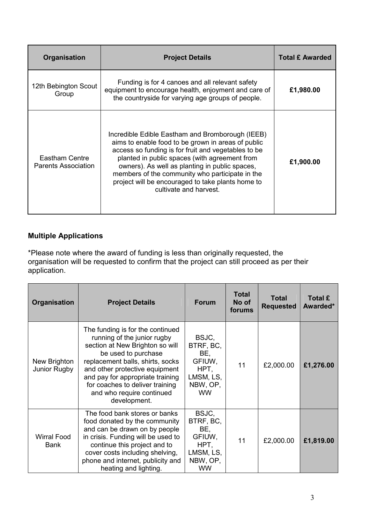| <b>Organisation</b>                          | <b>Project Details</b>                                                                                                                                                                                                                                                                                                                                                                             | <b>Total £ Awarded</b> |
|----------------------------------------------|----------------------------------------------------------------------------------------------------------------------------------------------------------------------------------------------------------------------------------------------------------------------------------------------------------------------------------------------------------------------------------------------------|------------------------|
| 12th Bebington Scout<br>Group                | Funding is for 4 canoes and all relevant safety<br>equipment to encourage health, enjoyment and care of<br>the countryside for varying age groups of people.                                                                                                                                                                                                                                       | £1,980.00              |
| Eastham Centre<br><b>Parents Association</b> | Incredible Edible Eastham and Bromborough (IEEB)<br>aims to enable food to be grown in areas of public<br>access so funding is for fruit and vegetables to be<br>planted in public spaces (with agreement from<br>owners). As well as planting in public spaces,<br>members of the community who participate in the<br>project will be encouraged to take plants home to<br>cultivate and harvest. | £1,900.00              |

## **Multiple Applications**

\*Please note where the award of funding is less than originally requested, the organisation will be requested to confirm that the project can still proceed as per their application.

| <b>Organisation</b>               | <b>Project Details</b>                                                                                                                                                                                                                                                                                              | <b>Forum</b>                                                                      | <b>Total</b><br>No of<br>forums | Total<br><b>Requested</b> | <b>Total £</b><br>Awarded* |
|-----------------------------------|---------------------------------------------------------------------------------------------------------------------------------------------------------------------------------------------------------------------------------------------------------------------------------------------------------------------|-----------------------------------------------------------------------------------|---------------------------------|---------------------------|----------------------------|
| New Brighton<br>Junior Rugby      | The funding is for the continued<br>running of the junior rugby<br>section at New Brighton so will<br>be used to purchase<br>replacement balls, shirts, socks<br>and other protective equipment<br>and pay for appropriate training<br>for coaches to deliver training<br>and who require continued<br>development. | BSJC,<br>BTRF, BC,<br>BE,<br>GFIUW,<br>HPT,<br>LMSM, LS,<br>NBW, OP,<br><b>WW</b> | 11                              | £2,000.00                 | £1,276.00                  |
| <b>Wirral Food</b><br><b>Bank</b> | The food bank stores or banks<br>food donated by the community<br>and can be drawn on by people<br>in crisis. Funding will be used to<br>continue this project and to<br>cover costs including shelving,<br>phone and internet, publicity and<br>heating and lighting.                                              | BSJC,<br>BTRF, BC,<br>BE,<br>GFIUW,<br>HPT,<br>LMSM, LS,<br>NBW, OP,<br><b>WW</b> | 11                              | £2,000.00                 | £1,819.00                  |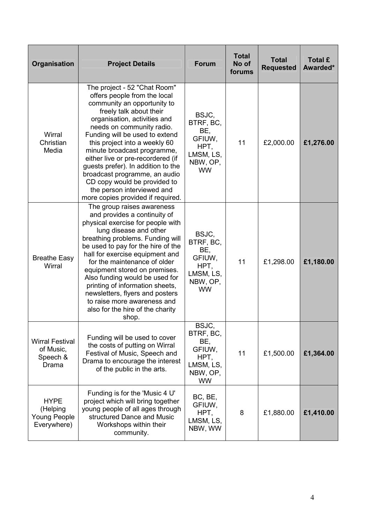| Organisation                                                  | <b>Project Details</b>                                                                                                                                                                                                                                                                                                                                                                                                                                                                               | <b>Forum</b>                                                                      | <b>Total</b><br>No of<br>forums | <b>Total</b><br><b>Requested</b> | Total £<br>Awarded* |
|---------------------------------------------------------------|------------------------------------------------------------------------------------------------------------------------------------------------------------------------------------------------------------------------------------------------------------------------------------------------------------------------------------------------------------------------------------------------------------------------------------------------------------------------------------------------------|-----------------------------------------------------------------------------------|---------------------------------|----------------------------------|---------------------|
| Wirral<br>Christian<br>Media                                  | The project - 52 "Chat Room"<br>offers people from the local<br>community an opportunity to<br>freely talk about their<br>organisation, activities and<br>needs on community radio.<br>Funding will be used to extend<br>this project into a weekly 60<br>minute broadcast programme,<br>either live or pre-recordered (if<br>guests prefer). In addition to the<br>broadcast programme, an audio<br>CD copy would be provided to<br>the person interviewed and<br>more copies provided if required. | BSJC,<br>BTRF, BC,<br>BE,<br>GFIUW,<br>HPT,<br>LMSM, LS,<br>NBW, OP,<br><b>WW</b> | 11                              | £2,000.00                        | £1,276.00           |
| <b>Breathe Easy</b><br>Wirral                                 | The group raises awareness<br>and provides a continuity of<br>physical exercise for people with<br>lung disease and other<br>breathing problems. Funding will<br>be used to pay for the hire of the<br>hall for exercise equipment and<br>for the maintenance of older<br>equipment stored on premises.<br>Also funding would be used for<br>printing of information sheets,<br>newsletters, flyers and posters<br>to raise more awareness and<br>also for the hire of the charity<br>shop.          | BSJC,<br>BTRF, BC,<br>BE,<br>GFIUW,<br>HPT,<br>LMSM, LS,<br>NBW, OP,<br><b>WW</b> | 11                              | £1,298.00                        | £1,180.00           |
| <b>Wirral Festival</b><br>of Music,<br>Speech &<br>Drama      | Funding will be used to cover<br>the costs of putting on Wirral<br>Festival of Music, Speech and<br>Drama to encourage the interest<br>of the public in the arts.                                                                                                                                                                                                                                                                                                                                    | BSJC,<br>BTRF, BC,<br>BE,<br>GFIUW,<br>HPT,<br>LMSM, LS,<br>NBW, OP,<br><b>WW</b> | 11                              | £1,500.00                        | £1,364.00           |
| <b>HYPE</b><br>(Helping<br><b>Young People</b><br>Everywhere) | Funding is for the 'Music 4 U'<br>project which will bring together<br>young people of all ages through<br>structured Dance and Music<br>Workshops within their<br>community.                                                                                                                                                                                                                                                                                                                        | BC, BE,<br>GFIUW,<br>HPT,<br>LMSM, LS,<br>NBW, WW                                 | 8                               | £1,880.00                        | £1,410.00           |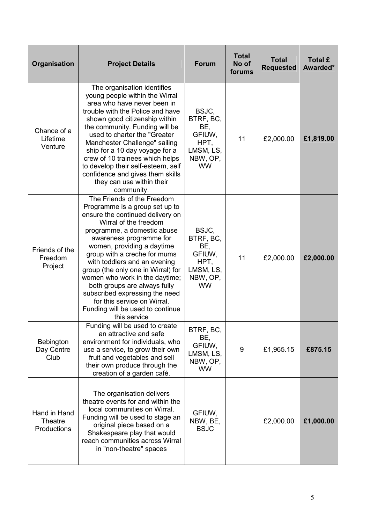| Organisation                           | <b>Project Details</b>                                                                                                                                                                                                                                                                                                                                                                                                                                                                                         | <b>Forum</b>                                                                      | <b>Total</b><br>No of<br>forums | <b>Total</b><br><b>Requested</b> | <b>Total £</b><br>Awarded* |
|----------------------------------------|----------------------------------------------------------------------------------------------------------------------------------------------------------------------------------------------------------------------------------------------------------------------------------------------------------------------------------------------------------------------------------------------------------------------------------------------------------------------------------------------------------------|-----------------------------------------------------------------------------------|---------------------------------|----------------------------------|----------------------------|
| Chance of a<br>Lifetime<br>Venture     | The organisation identifies<br>young people within the Wirral<br>area who have never been in<br>trouble with the Police and have<br>shown good citizenship within<br>the community. Funding will be<br>used to charter the "Greater<br>Manchester Challenge" sailing<br>ship for a 10 day voyage for a<br>crew of 10 trainees which helps<br>to develop their self-esteem, self<br>confidence and gives them skills<br>they can use within their<br>community.                                                 | BSJC,<br>BTRF, BC,<br>BE,<br>GFIUW,<br>HPT,<br>LMSM, LS,<br>NBW, OP,<br><b>WW</b> | 11                              | £2,000.00                        | £1,819.00                  |
| Friends of the<br>Freedom<br>Project   | The Friends of the Freedom<br>Programme is a group set up to<br>ensure the continued delivery on<br>Wirral of the freedom<br>programme, a domestic abuse<br>awareness programme for<br>women, providing a daytime<br>group with a creche for mums<br>with toddlers and an evening<br>group (the only one in Wirral) for<br>women who work in the daytime;<br>both groups are always fully<br>subscribed expressing the need<br>for this service on Wirral.<br>Funding will be used to continue<br>this service | BSJC,<br>BTRF, BC,<br>BE,<br>GFIUW,<br>HPT,<br>LMSM, LS,<br>NBW, OP,<br><b>WW</b> | 11                              | £2,000.00                        | £2,000.00                  |
| Bebington<br>Day Centre<br>Club        | Funding will be used to create<br>an attractive and safe<br>environment for individuals, who<br>use a service, to grow their own<br>fruit and vegetables and sell<br>their own produce through the<br>creation of a garden café.                                                                                                                                                                                                                                                                               | BTRF, BC,<br>BE,<br>GFIUW,<br>LMSM, LS,<br>NBW, OP,<br><b>WW</b>                  | 9                               | £1,965.15                        | £875.15                    |
| Hand in Hand<br>Theatre<br>Productions | The organisation delivers<br>theatre events for and within the<br>local communities on Wirral.<br>Funding will be used to stage an<br>original piece based on a<br>Shakespeare play that would<br>reach communities across Wirral<br>in "non-theatre" spaces                                                                                                                                                                                                                                                   | GFIUW,<br>NBW, BE,<br><b>BSJC</b>                                                 |                                 | £2,000.00                        | £1,000.00                  |